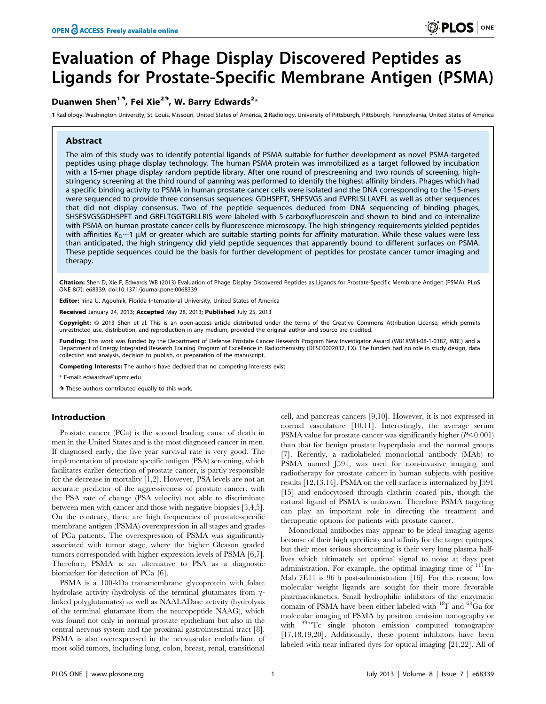# Evaluation of Phage Display Discovered Peptides as Ligands for Prostate-Specific Membrane Antigen (PSMA)

## Duanwen Shen<sup>13</sup>, Fei Xie<sup>23</sup>, W. Barry Edwards<sup>2\*</sup>

1 Radiology, Washington University, St. Louis, Missouri, United States of America, 2 Radiology, University of Pittsburgh, Pittsburgh, Pennsylvania, United States of America

## Abstract

The aim of this study was to identify potential ligands of PSMA suitable for further development as novel PSMA-targeted peptides using phage display technology. The human PSMA protein was immobilized as a target followed by incubation with a 15-mer phage display random peptide library. After one round of prescreening and two rounds of screening, highstringency screening at the third round of panning was performed to identify the highest affinity binders. Phages which had a specific binding activity to PSMA in human prostate cancer cells were isolated and the DNA corresponding to the 15-mers were sequenced to provide three consensus sequences: GDHSPFT, SHFSVGS and EVPRLSLLAVFL as well as other sequences that did not display consensus. Two of the peptide sequences deduced from DNA sequencing of binding phages, SHSFSVGSGDHSPFT and GRFLTGGTGRLLRIS were labeled with 5-carboxyfluorescein and shown to bind and co-internalize with PSMA on human prostate cancer cells by fluorescence microscopy. The high stringency requirements yielded peptides with affinities  $K_D \sim 1$  uM or greater which are suitable starting points for affinity maturation. While these values were less than anticipated, the high stringency did yield peptide sequences that apparently bound to different surfaces on PSMA. These peptide sequences could be the basis for further development of peptides for prostate cancer tumor imaging and therapy.

Citation: Shen D, Xie F, Edwards WB (2013) Evaluation of Phage Display Discovered Peptides as Ligands for Prostate-Specific Membrane Antigen (PSMA). PLoS ONE 8(7): e68339. doi:10.1371/journal.pone.0068339

Editor: Irina U. Agoulnik, Florida International University, United States of America

Received January 24, 2013; Accepted May 28, 2013; Published July 25, 2013

Copyright: © 2013 Shen et al. This is an open-access article distributed under the terms of the Creative Commons Attribution License, which permits unrestricted use, distribution, and reproduction in any medium, provided the original author and source are credited.

Funding: This work was funded by the Department of Defense Prostate Cancer Research Program New Investigator Award (W81XWH-08-1-0387, WBE) and a Department of Energy Integrated Research Training Program of Excellence in Radiochemistry (DESC0002032, FX). The funders had no role in study design, data collection and analysis, decision to publish, or preparation of the manuscript.

Competing Interests: The authors have declared that no competing interests exist.

\* E-mail: edwardsw@upmc.edu

**.** These authors contributed equally to this work.

## Introduction

Prostate cancer (PCa) is the second leading cause of death in men in the United States and is the most diagnosed cancer in men. If diagnosed early, the five year survival rate is very good. The implementation of prostate specific antigen (PSA) screening, which facilitates earlier detection of prostate cancer, is partly responsible for the decrease in mortality [1,2]. However, PSA levels are not an accurate predictor of the aggressiveness of prostate cancer, with the PSA rate of change (PSA velocity) not able to discriminate between men with cancer and those with negative biopsies [3,4,5]. On the contrary, there are high frequencies of prostate-specific membrane antigen (PSMA) overexpression in all stages and grades of PCa patients. The overexpression of PSMA was significantly associated with tumor stage, where the higher Gleason graded tumors corresponded with higher expression levels of PSMA [6,7]. Therefore, PSMA is an alternative to PSA as a diagnostic biomarker for detection of PCa [6].

PSMA is a 100-kDa transmembrane glycoprotein with folate hydrolase activity (hydrolysis of the terminal glutamates from  $\gamma$ linked polyglutamates) as well as NAALADase activity (hydrolysis of the terminal glutamate from the neuropeptide NAAG), which was found not only in normal prostate epithelium but also in the central nervous system and the proximal gastrointestinal tract [8]. PSMA is also overexpressed in the neovascular endothelium of most solid tumors, including lung, colon, breast, renal, transitional

cell, and pancreas cancers [9,10]. However, it is not expressed in normal vasculature [10,11]. Interestingly, the average serum PSMA value for prostate cancer was significantly higher  $(P<0.001)$ than that for benign prostate hyperplasia and the normal groups [7]. Recently, a radiolabeled monoclonal antibody (MAb) to PSMA named J591, was used for non-invasive imaging and radiotherapy for prostate cancer in human subjects with positive results [12,13,14]. PSMA on the cell surface is internalized by J591 [15] and endocytosed through clathrin coated pits, though the natural ligand of PSMA is unknown. Therefore PSMA targeting can play an important role in directing the treatment and therapeutic options for patients with prostate cancer.

Monoclonal antibodies may appear to be ideal imaging agents because of their high specificity and affinity for the target epitopes, but their most serious shortcoming is their very long plasma halflives which ultimately set optimal signal to noise at days post administration. For example, the optimal imaging time of  $111$ In-Mab 7E11 is 96 h post-administration [16]. For this reason, low molecular weight ligands are sought for their more favorable pharmacokinetics. Small hydrophilic inhibitors of the enzymatic domain of PSMA have been either labeled with 18F and 68Ga for molecular imaging of PSMA by positron emission tomography or with 99mTc single photon emission computed tomography [17,18,19,20]. Additionally, these potent inhibitors have been labeled with near infrared dyes for optical imaging [21,22]. All of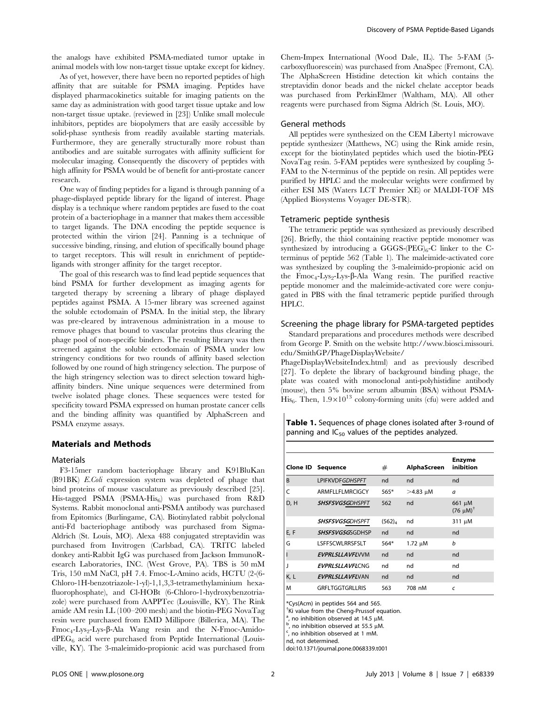the analogs have exhibited PSMA-mediated tumor uptake in animal models with low non-target tissue uptake except for kidney.

As of yet, however, there have been no reported peptides of high affinity that are suitable for PSMA imaging. Peptides have displayed pharmacokinetics suitable for imaging patients on the same day as administration with good target tissue uptake and low non-target tissue uptake. (reviewed in [23]) Unlike small molecule inhibitors, peptides are biopolymers that are easily accessible by solid-phase synthesis from readily available starting materials. Furthermore, they are generally structurally more robust than antibodies and are suitable surrogates with affinity sufficient for molecular imaging. Consequently the discovery of peptides with high affinity for PSMA would be of benefit for anti-prostate cancer research.

One way of finding peptides for a ligand is through panning of a phage-displayed peptide library for the ligand of interest. Phage display is a technique where random peptides are fused to the coat protein of a bacteriophage in a manner that makes them accessible to target ligands. The DNA encoding the peptide sequence is protected within the virion [24]. Panning is a technique of successive binding, rinsing, and elution of specifically bound phage to target receptors. This will result in enrichment of peptideligands with stronger affinity for the target receptor.

The goal of this research was to find lead peptide sequences that bind PSMA for further development as imaging agents for targeted therapy by screening a library of phage displayed peptides against PSMA. A 15-mer library was screened against the soluble ectodomain of PSMA. In the initial step, the library was pre-cleared by intravenous administration in a mouse to remove phages that bound to vascular proteins thus clearing the phage pool of non-specific binders. The resulting library was then screened against the soluble ectodomain of PSMA under low stringency conditions for two rounds of affinity based selection followed by one round of high stringency selection. The purpose of the high stringency selection was to direct selection toward highaffinity binders. Nine unique sequences were determined from twelve isolated phage clones. These sequences were tested for specificity toward PSMA expressed on human prostate cancer cells and the binding affinity was quantified by AlphaScreen and PSMA enzyme assays.

## Materials and Methods

## Materials

F3-15mer random bacteriophage library and K91BluKan (B91BK) E.Coli expression system was depleted of phage that bind proteins of mouse vasculature as previously described [25]. His-tagged PSMA (PSMA-His $_6$ ) was purchased from R&D Systems. Rabbit monoclonal anti-PSMA antibody was purchased from Epitomics (Burlingame, CA). Biotinylated rabbit polyclonal anti-Fd bacteriophage antibody was purchased from Sigma-Aldrich (St. Louis, MO). Alexa 488 conjugated streptavidin was purchased from Invitrogen (Carlsbad, CA). TRITC labeled donkey anti-Rabbit IgG was purchased from Jackson ImmunoResearch Laboratories, INC. (West Grove, PA). TBS is 50 mM Tris, 150 mM NaCl, pH 7.4. Fmoc-L-Amino acids, HCTU (2-(6- Chloro-1H-benzotriazole-1-yl)-1,1,3,3-tetramethylaminium hexafluorophosphate), and Cl-HOBt (6-Chloro-1-hydroxybenzotriazole) were purchased from AAPPTec (Louisville, KY). The Rink amide AM resin LL (100–200 mesh) and the biotin-PEG NovaTag resin were purchased from EMD Millipore (Billerica, MA). The  $Fmoc<sub>4</sub>-Lys<sub>2</sub>-Lys- $\beta$ -Ala Wang resin and the N-Fmoc-Amido$  $dPEG<sub>6</sub>$  acid were purchased from Peptide International (Louisville, KY). The 3-maleimido-propionic acid was purchased from Chem-Impex International (Wood Dale, IL). The 5-FAM (5 carboxyfluorescein) was purchased from AnaSpec (Fremont, CA). The AlphaScreen Histidine detection kit which contains the streptavidin donor beads and the nickel chelate acceptor beads was purchased from PerkinElmer (Waltham, MA). All other reagents were purchased from Sigma Aldrich (St. Louis, MO).

#### General methods

All peptides were synthesized on the CEM Liberty1 microwave peptide synthesizer (Matthews, NC) using the Rink amide resin, except for the biotinylated peptides which used the biotin-PEG NovaTag resin. 5-FAM peptides were synthesized by coupling 5- FAM to the N-terminus of the peptide on resin. All peptides were purified by HPLC and the molecular weights were confirmed by either ESI MS (Waters LCT Premier XE) or MALDI-TOF MS (Applied Biosystems Voyager DE-STR).

#### Tetrameric peptide synthesis

The tetrameric peptide was synthesized as previously described [26]. Briefly, the thiol containing reactive peptide monomer was synthesized by introducing a GGGS- $(PEG)_{6}$ -C linker to the Cterminus of peptide 562 (Table 1). The maleimide-activated core was synthesized by coupling the 3-maleimido-propionic acid on the  $\text{Fmoc}_4\text{-Lys}_2\text{-Lys-}\beta\text{-Ala Wang resin.}$  The purified reactive peptide monomer and the maleimide-activated core were conjugated in PBS with the final tetrameric peptide purified through HPLC.

## Screening the phage library for PSMA-targeted peptides

Standard preparations and procedures methods were described from George P. Smith on the website http://www.biosci.missouri. edu/SmithGP/PhageDisplayWebsite/

PhageDisplayWebsiteIndex.html) and as previously described [27]. To deplete the library of background binding phage, the plate was coated with monoclonal anti-polyhistidine antibody (mouse), then 5% bovine serum albumin (BSA) without PSMA-His<sub>6</sub>. Then,  $1.9 \times 10^{13}$  colony-forming units (cfu) were added and

Table 1. Sequences of phage clones isolated after 3-round of panning and  $IC_{50}$  values of the peptides analyzed.

|      | Clone ID Sequence      | #                  | AlphaScreen   | <b>Enzyme</b><br>inibition                     |
|------|------------------------|--------------------|---------------|------------------------------------------------|
| B    | <b>LPIFKVDFGDHSPFT</b> | nd                 | nd            | nd                                             |
| Ċ    | ARMFLLFLMRCIGCY        | $565*$             | $>4.83 \mu M$ | a                                              |
| D, H | <b>SHSFSVGSGDHSPFT</b> | 562                | nd            | 661 µM<br>$(76 \text{ }\mu\text{M})^{\dagger}$ |
|      | <b>SHSFSVGSGDHSPFT</b> | (562) <sub>4</sub> | nd            | 311 µM                                         |
| E, F | <b>SHSFSVGSGSGDHSP</b> | nd                 | nd            | nd                                             |
| G    | LSFFSCWLRRSFSLT        | $564*$             | 1.72 μM       | b                                              |
|      | <b>EVPRLSLLAVELVVM</b> | nd                 | nd            | nd                                             |
|      | <b>EVPRLSLLAVELCNG</b> | nd                 | nd            | nd                                             |
| K, L | <b>EVPRLSLLAVFLVAN</b> | nd                 | nd            | nd                                             |
| M    | <b>GRFLTGGTGRLLRIS</b> | 563                | 708 nM        | C                                              |

\*Cys(Acm) in peptides 564 and 565.

<sup>†</sup>Ki value from the Cheng-Prussof equation.

 $\alpha$ , no inhibition observed at 14.5  $\mu$ M. <sup>a</sup>, no inhibition observed at 14.5  $\mu$ M.<br><sup>b</sup> no inhibition observed at 55.5  $\mu$ M.

 $^{6}$ , no inhibition observed at 55.5  $\mu$ M.

 $\frac{1}{2}$ , no inhibition observed at 1 mM.

nd, not determined.

doi:10.1371/journal.pone.0068339.t001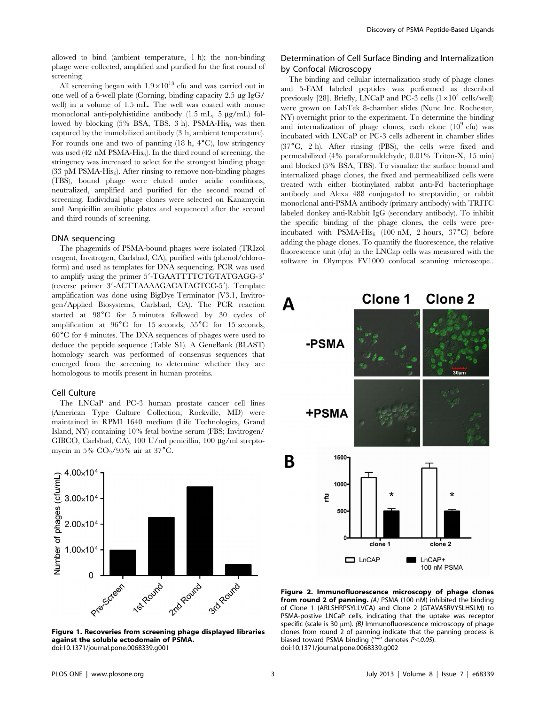allowed to bind (ambient temperature, 1 h); the non-binding phage were collected, amplified and purified for the first round of screening.

All screening began with  $1.9 \times 10^{13}$  cfu and was carried out in one well of a 6-well plate (Corning, binding capacity  $2.5 \mu g \text{ IgG}$ ) well) in a volume of 1.5 mL. The well was coated with mouse monoclonal anti-polyhistidine antibody (1.5 mL, 5 µg/mL) followed by blocking  $(5\%$  BSA, TBS, 3 h). PSMA-His<sub>6</sub> was then captured by the immobilized antibody (3 h, ambient temperature). For rounds one and two of panning (18 h,  $4^{\circ}$ C), low stringency was used (42 nM PSMA-His<sub>6</sub>). In the third round of screening, the stringency was increased to select for the strongest binding phage (33 pM PSMA- $His<sub>6</sub>$ ). After rinsing to remove non-binding phages (TBS), bound phage were eluted under acidic conditions, neutralized, amplified and purified for the second round of screening. Individual phage clones were selected on Kanamycin and Ampicillin antibiotic plates and sequenced after the second and third rounds of screening.

#### DNA sequencing

The phagemids of PSMA-bound phages were isolated (TRIzol reagent, Invitrogen, Carlsbad, CA), purified with (phenol/chloroform) and used as templates for DNA sequencing. PCR was used to amplify using the primer 5'-TGAATTTTCTGTATGAGG-3' (reverse primer 3'-ACTTAAAAGACATACTCC-5'). Template amplification was done using BigDye Terminator (V3.1, Invitrogen/Applied Biosystems, Carlsbad, CA). The PCR reaction started at  $98^{\circ}$ C for 5 minutes followed by 30 cycles of amplification at  $96^{\circ}C$  for 15 seconds,  $55^{\circ}C$  for 15 seconds,  $60^{\circ}$ C for 4 minutes. The DNA sequences of phages were used to deduce the peptide sequence (Table S1). A GeneBank (BLAST) homology search was performed of consensus sequences that emerged from the screening to determine whether they are homologous to motifs present in human proteins.

## Cell Culture

The LNCaP and PC-3 human prostate cancer cell lines (American Type Culture Collection, Rockville, MD) were maintained in RPMI 1640 medium (Life Technologies, Grand Island, NY) containing 10% fetal bovine serum (FBS; Invitrogen/ GIBCO, Carlsbad, CA), 100 U/ml penicillin, 100 µg/ml streptomycin in 5%  $CO<sub>2</sub>/95%$  air at 37°C.



Figure 1. Recoveries from screening phage displayed libraries against the soluble ectodomain of PSMA. doi:10.1371/journal.pone.0068339.g001

## Determination of Cell Surface Binding and Internalization by Confocal Microscopy

The binding and cellular internalization study of phage clones and 5-FAM labeled peptides was performed as described previously [28]. Briefly, LNCaP and PC-3 cells  $(1\times10^4 \text{ cells/well})$ were grown on LabTek 8-chamber slides (Nunc Inc. Rochester, NY) overnight prior to the experiment. To determine the binding and internalization of phage clones, each clone  $(10^9 \text{ cftu})$  was incubated with LNCaP or PC-3 cells adherent in chamber slides  $(37<sup>o</sup>C, 2 h)$ . After rinsing (PBS), the cells were fixed and permeabilized (4% paraformaldehyde, 0.01% Triton-X, 15 min) and blocked (5% BSA, TBS). To visualize the surface bound and internalized phage clones, the fixed and permeabilized cells were treated with either biotinylated rabbit anti-Fd bacteriophage antibody and Alexa 488 conjugated to streptavidin, or rabbit monoclonal anti-PSMA antibody (primary antibody) with TRITC labeled donkey anti-Rabbit IgG (secondary antibody). To inhibit the specific binding of the phage clones, the cells were preincubated with PSMA-His<sub>6</sub> (100 nM, 2 hours,  $37^{\circ}$ C) before adding the phage clones. To quantify the fluorescence, the relative fluorescence unit (rfu) in the LNCap cells was measured with the software in Olympus FV1000 confocal scanning microscope..



Figure 2. Immunofluorescence microscopy of phage clones from round 2 of panning. (A) PSMA (100 nM) inhibited the binding of Clone 1 (ARLSHRPSYLLVCA) and Clone 2 (GTAVASRVYSLHSLM) to PSMA-postive LNCaP cells, indicating that the uptake was receptor specific (scale is 30  $\mu$ m). (B) Immunofluorescence microscopy of phage clones from round 2 of panning indicate that the panning process is biased toward PSMA binding ("\*" denotes  $P < 0.05$ ). doi:10.1371/journal.pone.0068339.g002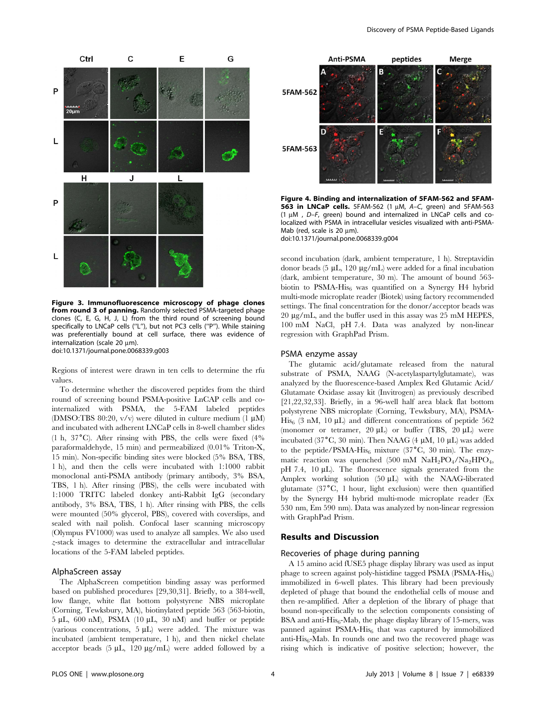

Figure 3. Immunofluorescence microscopy of phage clones from round 3 of panning. Randomly selected PSMA-targeted phage clones (C, E, G, H, J, L) from the third round of screening bound specifically to LNCaP cells (''L''), but not PC3 cells (''P''). While staining was preferentially bound at cell surface, there was evidence of internalization (scale 20  $\mu$ m). doi:10.1371/journal.pone.0068339.g003

Regions of interest were drawn in ten cells to determine the rfu

values. To determine whether the discovered peptides from the third round of screening bound PSMA-positive LnCAP cells and cointernalized with PSMA, the 5-FAM labeled peptides (DMSO:TBS 80:20,  $v/v$ ) were diluted in culture medium (1  $\mu$ M) and incubated with adherent LNCaP cells in 8-well chamber slides (1 h,  $37^{\circ}$ C). After rinsing with PBS, the cells were fixed (4% paraformaldehyde, 15 min) and permeabilized (0.01% Triton-X, 15 min). Non-specific binding sites were blocked (5% BSA, TBS, 1 h), and then the cells were incubated with 1:1000 rabbit monoclonal anti-PSMA antibody (primary antibody, 3% BSA, TBS, 1 h). After rinsing (PBS), the cells were incubated with 1:1000 TRITC labeled donkey anti-Rabbit IgG (secondary antibody, 3% BSA, TBS, 1 h). After rinsing with PBS, the cells were mounted (50% glycerol, PBS), covered with coverslips, and sealed with nail polish. Confocal laser scanning microscopy (Olympus FV1000) was used to analyze all samples. We also used z-stack images to determine the extracellular and intracellular locations of the 5-FAM labeled peptides.

## AlphaScreen assay

The AlphaScreen competition binding assay was performed based on published procedures [29,30,31]. Briefly, to a 384-well, low flange, white flat bottom polystyrene NBS microplate (Corning, Tewksbury, MA), biotinylated peptide 563 (563-biotin,  $5 \mu L$ , 600 nM), PSMA (10  $\mu L$ , 30 nM) and buffer or peptide (various concentrations,  $5 \mu L$ ) were added. The mixture was incubated (ambient temperature, 1 h), and then nickel chelate acceptor beads  $(5 \mu L, 120 \mu g/mL)$  were added followed by a



Figure 4. Binding and internalization of 5FAM-562 and 5FAM-563 in LNCaP cells. 5FAM-562 (1  $\mu$ M, A-C, green) and 5FAM-563 (1  $\mu$ M , D–F, green) bound and internalized in LNCaP cells and colocalized with PSMA in intracellular vesicles visualized with anti-PSMA-Mab (red, scale is 20 um).

doi:10.1371/journal.pone.0068339.g004

second incubation (dark, ambient temperature, 1 h). Streptavidin donor beads (5  $\mu$ L, 120  $\mu$ g/mL) were added for a final incubation (dark, ambient temperature, 30 m). The amount of bound 563 biotin to  $PSMA-His<sub>6</sub>$  was quantified on a Synergy H4 hybrid multi-mode microplate reader (Biotek) using factory recommended settings. The final concentration for the donor/acceptor beads was 20 mg/mL, and the buffer used in this assay was 25 mM HEPES, 100 mM NaCl, pH 7.4. Data was analyzed by non-linear regression with GraphPad Prism.

## PSMA enzyme assay

The glutamic acid/glutamate released from the natural substrate of PSMA, NAAG (N-acetylaspartylglutamate), was analyzed by the fluorescence-based Amplex Red Glutamic Acid/ Glutamate Oxidase assay kit (Invitrogen) as previously described [21,22,32,33]. Briefly, in a 96-well half area black flat bottom polystyrene NBS microplate (Corning, Tewksbury, MA), PSMA- $His<sub>6</sub>$  (3 nM, 10 µL) and different concentrations of peptide 562 (monomer or tetramer,  $20 \mu L$ ) or buffer (TBS,  $20 \mu L$ ) were incubated (37 $\mathrm{C}$ , 30 min). Then NAAG (4  $\mu$ M, 10  $\mu$ L) was added to the peptide/PSMA-His<sub>6</sub> mixture (37<sup>°</sup>C, 30 min). The enzymatic reaction was quenched (500 mM  $NaH_2PO_4/Na_2HPO_4$ ,  $pH$  7.4, 10  $\mu$ L). The fluorescence signals generated from the Amplex working solution (50 µL) with the NAAG-liberated glutamate  $(37^{\circ}C, 1$  hour, light exclusion) were then quantified by the Synergy H4 hybrid multi-mode microplate reader (Ex 530 nm, Em 590 nm). Data was analyzed by non-linear regression with GraphPad Prism.

## Results and Discussion

## Recoveries of phage during panning

A 15 amino acid fUSE5 phage display library was used as input phage to screen against poly-histidine tagged PSMA (PSMA-His6) immobilized in 6-well plates. This library had been previously depleted of phage that bound the endothelial cells of mouse and then re-amplified. After a depletion of the library of phage that bound non-specifically to the selection components consisting of BSA and anti- $His<sub>6</sub>$ -Mab, the phage display library of 15-mers, was panned against PSMA-His<sub>6</sub> that was captured by immobilized anti- $His<sub>6</sub>$ -Mab. In rounds one and two the recovered phage was rising which is indicative of positive selection; however, the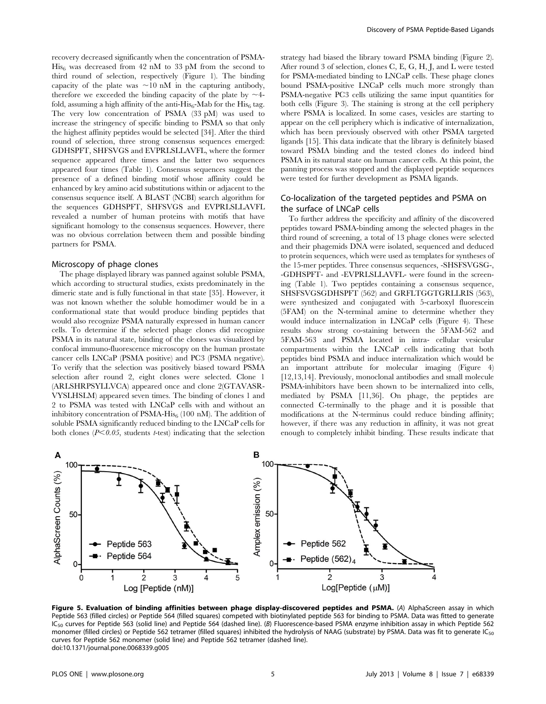recovery decreased significantly when the concentration of PSMA- $His<sub>6</sub>$  was decreased from 42 nM to 33 pM from the second to third round of selection, respectively (Figure 1). The binding capacity of the plate was  $\sim 10$  nM in the capturing antibody, therefore we exceeded the binding capacity of the plate by  $\sim$ 4fold, assuming a high affinity of the anti-His<sub>6</sub>-Mab for the His<sub>6</sub> tag. The very low concentration of PSMA (33 pM) was used to increase the stringency of specific binding to PSMA so that only the highest affinity peptides would be selected [34]. After the third round of selection, three strong consensus sequences emerged: GDHSPFT, SHFSVGS and EVPRLSLLAVFL, where the former sequence appeared three times and the latter two sequences appeared four times (Table 1). Consensus sequences suggest the presence of a defined binding motif whose affinity could be enhanced by key amino acid substitutions within or adjacent to the consensus sequence itself. A BLAST (NCBI) search algorithm for the sequences GDHSPFT, SHFSVGS and EVPRLSLLAVFL revealed a number of human proteins with motifs that have significant homology to the consensus sequences. However, there was no obvious correlation between them and possible binding partners for PSMA.

#### Microscopy of phage clones

The phage displayed library was panned against soluble PSMA, which according to structural studies, exists predominately in the dimeric state and is fully functional in that state [35]. However, it was not known whether the soluble homodimer would be in a conformational state that would produce binding peptides that would also recognize PSMA naturally expressed in human cancer cells. To determine if the selected phage clones did recognize PSMA in its natural state, binding of the clones was visualized by confocal immuno-fluorescence microscopy on the human prostate cancer cells LNCaP (PSMA positive) and PC3 (PSMA negative). To verify that the selection was positively biased toward PSMA selection after round 2, eight clones were selected. Clone 1 (ARLSHRPSYLLVCA) appeared once and clone 2(GTAVASR-VYSLHSLM) appeared seven times. The binding of clones 1 and 2 to PSMA was tested with LNCaP cells with and without an inhibitory concentration of PSMA-His $_6$  (100 nM). The addition of soluble PSMA significantly reduced binding to the LNCaP cells for both clones ( $P<0.05$ , students t-test) indicating that the selection strategy had biased the library toward PSMA binding (Figure 2). After round 3 of selection, clones C, E, G, H, J, and L were tested for PSMA-mediated binding to LNCaP cells. These phage clones bound PSMA-positive LNCaP cells much more strongly than PSMA-negative PC3 cells utilizing the same input quantities for both cells (Figure 3). The staining is strong at the cell periphery where PSMA is localized. In some cases, vesicles are starting to appear on the cell periphery which is indicative of internalization, which has been previously observed with other PSMA targeted ligands [15]. This data indicate that the library is definitely biased toward PSMA binding and the tested clones do indeed bind PSMA in its natural state on human cancer cells. At this point, the panning process was stopped and the displayed peptide sequences were tested for further development as PSMA ligands.

## Co-localization of the targeted peptides and PSMA on the surface of LNCaP cells

To further address the specificity and affinity of the discovered peptides toward PSMA-binding among the selected phages in the third round of screening, a total of 13 phage clones were selected and their phagemids DNA were isolated, sequenced and deduced to protein sequences, which were used as templates for syntheses of the 15-mer peptides. Three consensus sequences, -SHSFSVGSG-, -GDHSPFT- and -EVPRLSLLAVFL- were found in the screening (Table 1). Two peptides containing a consensus sequence, SHSFSVGSGDHSPFT (562) and GRFLTGGTGRLLRIS (563), were synthesized and conjugated with 5-carboxyl fluorescein (5FAM) on the N-terminal amine to determine whether they would induce internalization in LNCaP cells (Figure 4). These results show strong co-staining between the 5FAM-562 and 5FAM-563 and PSMA located in intra- cellular vesicular compartments within the LNCaP cells indicating that both peptides bind PSMA and induce internalization which would be an important attribute for molecular imaging (Figure 4) [12,13,14]. Previously, monoclonal antibodies and small molecule PSMA-inhibitors have been shown to be internalized into cells, mediated by PSMA [11,36]. On phage, the peptides are connected C-terminally to the phage and it is possible that modifications at the N-terminus could reduce binding affinity; however, if there was any reduction in affinity, it was not great enough to completely inhibit binding. These results indicate that



Figure 5. Evaluation of binding affinities between phage display-discovered peptides and PSMA. (A) AlphaScreen assay in which Peptide 563 (filled circles) or Peptide 564 (filled squares) competed with biotinylated peptide 563 for binding to PSMA. Data was fitted to generate IC<sub>50</sub> curves for Peptide 563 (solid line) and Peptide 564 (dashed line). (B) Fluorescence-based PSMA enzyme inhibition assay in which Peptide 562 monomer (filled circles) or Peptide 562 tetramer (filled squares) inhibited the hydrolysis of NAAG (substrate) by PSMA. Data was fit to generate IC<sub>50</sub> curves for Peptide 562 monomer (solid line) and Peptide 562 tetramer (dashed line). doi:10.1371/journal.pone.0068339.g005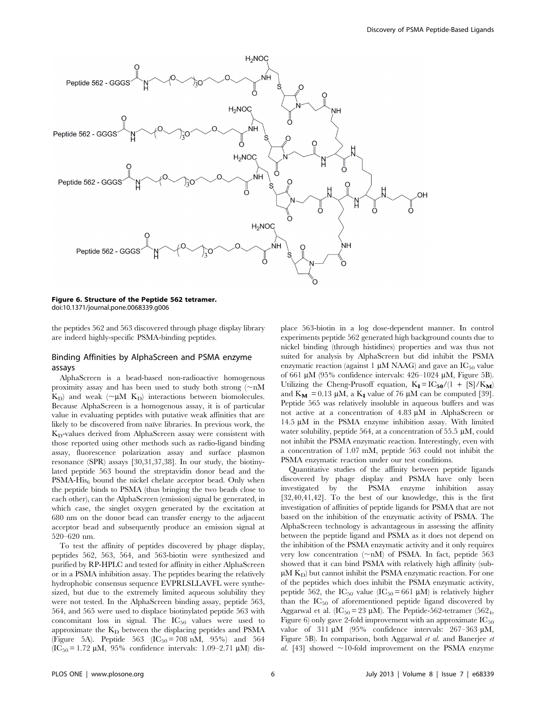

Figure 6. Structure of the Peptide 562 tetramer. doi:10.1371/journal.pone.0068339.g006

the peptides 562 and 563 discovered through phage display library are indeed highly-specific PSMA-binding peptides.

## Binding Affinities by AlphaScreen and PSMA enzyme assays

AlphaScreen is a bead-based non-radioactive homogenous proximity assay and has been used to study both strong  $(\sim nM)$  $K_D$ ) and weak ( $\nu$ M K<sub>D</sub>) interactions between biomolecules. Because AlphaScreen is a homogenous assay, it is of particular value in evaluating peptides with putative weak affinities that are likely to be discovered from naïve libraries. In previous work, the  $K_D$ -values derived from AlphaScreen assay were consistent with those reported using other methods such as radio-ligand binding assay, fluorescence polarization assay and surface plasmon resonance (SPR) assays [30,31,37,38]. In our study, the biotinylated peptide 563 bound the streptavidin donor bead and the  $PSMA-His<sub>6</sub>$  bound the nickel chelate acceptor bead. Only when the peptide binds to PSMA (thus bringing the two beads close to each other), can the AlphaScreen (emission) signal be generated, in which case, the singlet oxygen generated by the excitation at 680 nm on the donor bead can transfer energy to the adjacent acceptor bead and subsequently produce an emission signal at 520–620 nm.

To test the affinity of peptides discovered by phage display, peptides 562, 563, 564, and 563-biotin were synthesized and purified by RP-HPLC and tested for affinity in either AlphaScreen or in a PSMA inhibition assay. The peptides bearing the relatively hydrophobic consensus sequence EVPRLSLLAVFL were synthesized, but due to the extremely limited aqueous solubility they were not tested. In the AlphaScreen binding assay, peptide 563, 564, and 565 were used to displace biotinylated peptide 563 with concomitant loss in signal. The  $IC_{50}$  values were used to approximate the  $K_D$  between the displacing peptides and PSMA (Figure 5A). Peptide 563 (IC<sub>50</sub> = 708 nM, 95%) and 564  $(IC_{50} = 1.72 \mu M, 95\%$  confidence intervals: 1.09–2.71  $\mu$ M) displace 563-biotin in a log dose-dependent manner. In control experiments peptide 562 generated high background counts due to nickel binding (through histidines) properties and was thus not suited for analysis by AlphaScreen but did inhibit the PSMA enzymatic reaction (against 1  $\mu$ M NAAG) and gave an IC<sub>50</sub> value of 661  $\mu$ M (95% confidence intervals: 426–1024  $\mu$ M, Figure 5B). Utilizing the Cheng-Prusoff equation,  $K_I = IC_{50}/(1 + [S]/K_M)$ and  $K_M = 0.13 \mu M$ , a  $K_I$  value of 76  $\mu$ M can be computed [39]. Peptide 565 was relatively insoluble in aqueous buffers and was not active at a concentration of  $4.83 \mu M$  in AlphaScreen or 14.5 µM in the PSMA enzyme inhibition assay. With limited water solubility, peptide 564, at a concentration of 55.5  $\mu$ M, could not inhibit the PSMA enzymatic reaction. Interestingly, even with a concentration of 1.07 mM, peptide 563 could not inhibit the PSMA enzymatic reaction under our test conditions.

Quantitative studies of the affinity between peptide ligands discovered by phage display and PSMA have only been investigated by the PSMA enzyme inhibition assay [32,40,41,42]. To the best of our knowledge, this is the first investigation of affinities of peptide ligands for PSMA that are not based on the inhibition of the enzymatic activity of PSMA. The AlphaScreen technology is advantageous in assessing the affinity between the peptide ligand and PSMA as it does not depend on the inhibition of the PSMA enzymatic activity and it only requires very low concentration ( $\neg nM$ ) of PSMA. In fact, peptide 563 showed that it can bind PSMA with relatively high affinity (sub- $\mu$ M K<sub>D</sub>) but cannot inhibit the PSMA enzymatic reaction. For one of the peptides which does inhibit the PSMA enzymatic activity, peptide 562, the  $IC_{50}$  value  $(IC_{50} = 661 \mu M)$  is relatively higher than the  $IC_{50}$  of aforementioned peptide ligand discovered by Aggarwal et al. ( $IC_{50} = 23 \mu M$ ). The Peptide-562-tetramer (562<sub>4</sub>, Figure 6) only gave 2-fold improvement with an approximate  $IC_{50}$ value of  $311 \mu M$  (95% confidence intervals: 267-363  $\mu$ M, Figure 5B). In comparison, both Aggarwal et al. and Banerjee et al. [43] showed  $\sim$ 10-fold improvement on the PSMA enzyme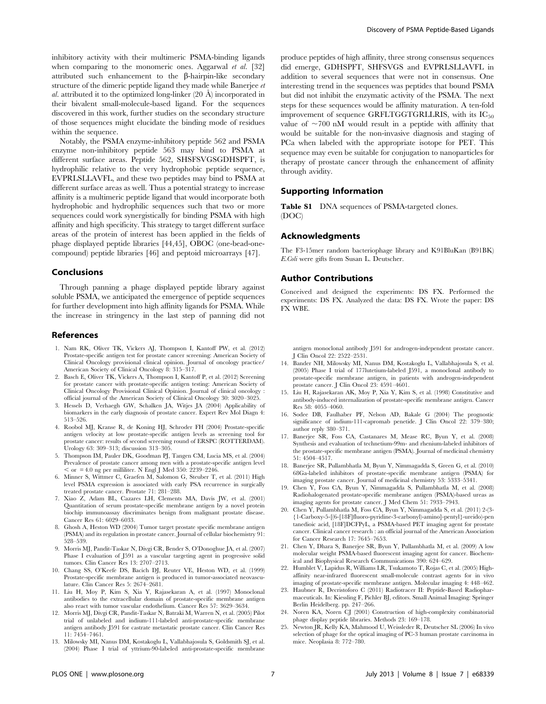inhibitory activity with their multimeric PSMA-binding ligands when comparing to the monomeric ones. Aggarwal et al. [32] attributed such enhancement to the  $\beta$ -hairpin-like secondary structure of the dimeric peptide ligand they made while Banerjee et al. attributed it to the optimized long-linker  $(20 \text{ Å})$  incorporated in their bivalent small-molecule-based ligand. For the sequences discovered in this work, further studies on the secondary structure of those sequences might elucidate the binding mode of residues within the sequence.

Notably, the PSMA enzyme-inhibitory peptide 562 and PSMA enzyme non-inhibitory peptide 563 may bind to PSMA at different surface areas. Peptide 562, SHSFSVGSGDHSPFT, is hydrophilic relative to the very hydrophobic peptide sequence, EVPRLSLLAVFL, and these two peptides may bind to PSMA at different surface areas as well. Thus a potential strategy to increase affinity is a multimeric peptide ligand that would incorporate both hydrophobic and hydrophilic sequences such that two or more sequences could work synergistically for binding PSMA with high affinity and high specificity. This strategy to target different surface areas of the protein of interest has been applied in the fields of phage displayed peptide libraries [44,45], OBOC (one-bead-onecompound) peptide libraries [46] and peptoid microarrays [47].

## Conclusions

Through panning a phage displayed peptide library against soluble PSMA, we anticipated the emergence of peptide sequences for further development into high affinity ligands for PSMA. While the increase in stringency in the last step of panning did not

#### References

- 1. Nam RK, Oliver TK, Vickers AJ, Thompson I, Kantoff PW, et al. (2012) Prostate-specific antigen test for prostate cancer screening: American Society of Clinical Oncology provisional clinical opinion. Journal of oncology practice/ American Society of Clinical Oncology 8: 315–317.
- 2. Basch E, Oliver TK, Vickers A, Thompson I, Kantoff P, et al. (2012) Screening for prostate cancer with prostate-specific antigen testing: American Society of Clinical Oncology Provisional Clinical Opinion. Journal of clinical oncology : official journal of the American Society of Clinical Oncology 30: 3020–3025.
- 3. Hessels D, Verhaegh GW, Schalken JA, Witjes JA (2004) Applicability of biomarkers in the early diagnosis of prostate cancer. Expert Rev Mol Diagn 4: 513–526.
- 4. Roobol MJ, Kranse R, de Koning HJ, Schroder FH (2004) Prostate-specific antigen velocity at low prostate-specific antigen levels as screening tool for prostate cancer: results of second screening round of ERSPC (ROTTERDAM). Urology 63: 309–313; discussion 313–305.
- 5. Thompson IM, Pauler DK, Goodman PJ, Tangen CM, Lucia MS, et al. (2004) Prevalence of prostate cancer among men with a prostate-specific antigen level , or = 4.0 ng per milliliter. N Engl J Med 350: 2239–2246.
- 6. Minner S, Wittmer C, Graefen M, Salomon G, Steuber T, et al. (2011) High level PSMA expression is associated with early PSA recurrence in surgically treated prostate cancer. Prostate 71: 281–288.
- 7. Xiao Z, Adam BL, Cazares LH, Clements MA, Davis JW, et al. (2001) Quantitation of serum prostate-specific membrane antigen by a novel protein biochip immunoassay discriminates benign from malignant prostate disease. Cancer Res 61: 6029–6033.
- 8. Ghosh A, Heston WD (2004) Tumor target prostate specific membrane antigen (PSMA) and its regulation in prostate cancer. Journal of cellular biochemistry 91: 528–539.
- 9. Morris MJ, Pandit-Taskar N, Divgi CR, Bender S, O'Donoghue JA, et al. (2007) Phase I evaluation of J591 as a vascular targeting agent in progressive solid tumors. Clin Cancer Res 13: 2707–2713.
- 10. Chang SS, O'Keefe DS, Bacich DJ, Reuter VE, Heston WD, et al. (1999) Prostate-specific membrane antigen is produced in tumor-associated neovasculature. Clin Cancer Res 5: 2674–2681.
- 11. Liu H, Moy P, Kim S, Xia Y, Rajasekaran A, et al. (1997) Monoclonal antibodies to the extracellular domain of prostate-specific membrane antigen also react with tumor vascular endothelium. Cancer Res 57: 3629–3634.
- 12. Morris MJ, Divgi CR, Pandit-Taskar N, Batraki M, Warren N, et al. (2005) Pilot trial of unlabeled and indium-111-labeled anti-prostate-specific membrane antigen antibody J591 for castrate metastatic prostate cancer. Clin Cancer Res 11: 7454–7461.
- 13. Milowsky MI, Nanus DM, Kostakoglu L, Vallabhajosula S, Goldsmith SJ, et al. (2004) Phase I trial of yttrium-90-labeled anti-prostate-specific membrane

produce peptides of high affinity, three strong consensus sequences did emerge, GDHSPFT, SHFSVGS and EVPRLSLLAVFL in addition to several sequences that were not in consensus. One interesting trend in the sequences was peptides that bound PSMA but did not inhibit the enzymatic activity of the PSMA. The next steps for these sequences would be affinity maturation. A ten-fold improvement of sequence GRFLTGGTGRLLRIS, with its  $IC_{50}$ value of  $\sim$ 700 nM would result in a peptide with affinity that would be suitable for the non-invasive diagnosis and staging of PCa when labeled with the appropriate isotope for PET. This sequence may even be suitable for conjugation to nanoparticles for therapy of prostate cancer through the enhancement of affinity through avidity.

#### Supporting Information

Table S1 DNA sequences of PSMA-targeted clones. (DOC)

#### Acknowledgments

The F3-15mer random bacteriophage library and K91BluKan (B91BK) E.Coli were gifts from Susan L. Deutscher.

## Author Contributions

Conceived and designed the experiments: DS FX. Performed the experiments: DS FX. Analyzed the data: DS FX. Wrote the paper: DS FX WBE.

antigen monoclonal antibody J591 for androgen-independent prostate cancer. J Clin Oncol 22: 2522–2531.

- 14. Bander NH, Milowsky MI, Nanus DM, Kostakoglu L, Vallabhajosula S, et al. (2005) Phase I trial of 177lutetium-labeled J591, a monoclonal antibody to prostate-specific membrane antigen, in patients with androgen-independent prostate cancer. J Clin Oncol 23: 4591–4601.
- 15. Liu H, Rajasekaran AK, Moy P, Xia Y, Kim S, et al. (1998) Constitutive and antibody-induced internalization of prostate-specific membrane antigen. Cancer Res 58: 4055–4060.
- 16. Sodee DB, Faulhaber PF, Nelson AD, Bakale G (2004) The prognostic significance of indium-111-capromab penetide. J Clin Oncol 22: 379–380; author reply 380–371.
- 17. Banerjee SR, Foss CA, Castanares M, Mease RC, Byun Y, et al. (2008) Synthesis and evaluation of technetium-99m- and rhenium-labeled inhibitors of the prostate-specific membrane antigen (PSMA). Journal of medicinal chemistry 51: 4504–4517.
- 18. Banerjee SR, Pullambhatla M, Byun Y, Nimmagadda S, Green G, et al. (2010) 68Ga-labeled inhibitors of prostate-specific membrane antigen (PSMA) for imaging prostate cancer. Journal of medicinal chemistry 53: 5333–5341.
- 19. Chen Y, Foss CA, Byun Y, Nimmagadda S, Pullambhatla M, et al. (2008) Radiohalogenated prostate-specific membrane antigen (PSMA)-based ureas as imaging agents for prostate cancer. J Med Chem 51: 7933–7943.
- 20. Chen Y, Pullambhatla M, Foss CA, Byun Y, Nimmagadda S, et al. (2011) 2-(3- {1-Carboxy-5-[(6-[18F]fluoro-pyridine-3-carbonyl)-amino]-pentyl}-ureido)-pen tanedioic acid, [18F]DCFPyL, a PSMA-based PET imaging agent for prostate cancer. Clinical cancer research : an official journal of the American Association for Cancer Research 17: 7645–7653.
- 21. Chen Y, Dhara S, Banerjee SR, Byun Y, Pullambhatla M, et al. (2009) A low molecular weight PSMA-based fluorescent imaging agent for cancer. Biochemical and Biophysical Research Communications 390: 624–629.
- 22. Humblet V, Lapidus R, Williams LR, Tsukamoto T, Rojas C, et al. (2005) Highaffinity near-infrared fluorescent small-molecule contrast agents for in vivo imaging of prostate-specific membrane antigen. Molecular imaging 4: 448–462.
- 23. Haubner R, Decristoforo C (2011) Radiotracer II: Peptide-Based Radiopharmaceuticals. In: Kiessling F, Pichler BJ, editors. Small Animal Imaging: Springer Berlin Heidelberg. pp. 247–266.
- 24. Noren KA, Noren CJ (2001) Construction of high-complexity combinatorial phage display peptide libraries. Methods 23: 169–178.
- 25. Newton JR, Kelly KA, Mahmood U, Weissleder R, Deutscher SL (2006) In vivo selection of phage for the optical imaging of PC-3 human prostate carcinoma in mice. Neoplasia 8: 772–780.